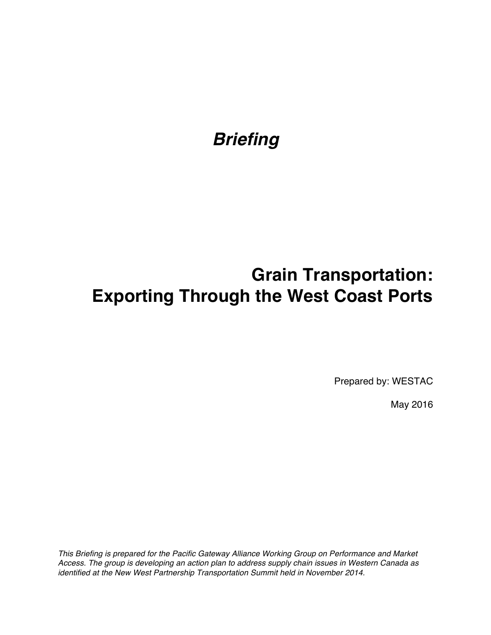# *Briefing*

# **Grain Transportation: Exporting Through the West Coast Ports**

Prepared by: WESTAC

May 2016

*This Briefing is prepared for the Pacific Gateway Alliance Working Group on Performance and Market Access. The group is developing an action plan to address supply chain issues in Western Canada as identified at the New West Partnership Transportation Summit held in November 2014.*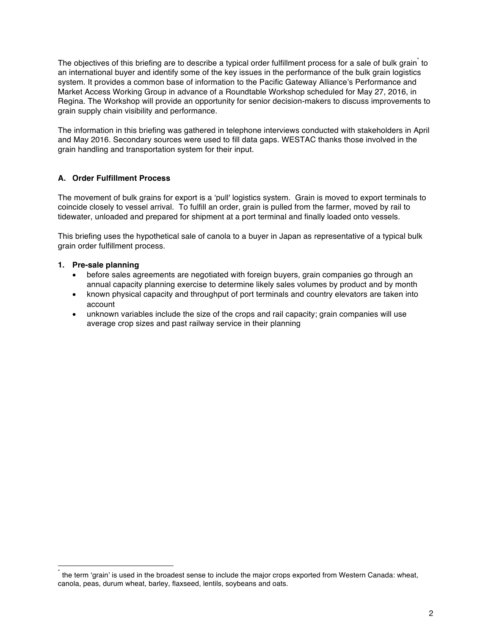The objectives of this briefing are to describe a typical order fulfillment process for a sale of bulk grain to an international buyer and identify some of the key issues in the performance of the bulk grain logistics system. It provides a common base of information to the Pacific Gateway Alliance's Performance and Market Access Working Group in advance of a Roundtable Workshop scheduled for May 27, 2016, in Regina. The Workshop will provide an opportunity for senior decision-makers to discuss improvements to grain supply chain visibility and performance.

The information in this briefing was gathered in telephone interviews conducted with stakeholders in April and May 2016. Secondary sources were used to fill data gaps. WESTAC thanks those involved in the grain handling and transportation system for their input.

### **A. Order Fulfillment Process**

The movement of bulk grains for export is a 'pull' logistics system. Grain is moved to export terminals to coincide closely to vessel arrival. To fulfill an order, grain is pulled from the farmer, moved by rail to tidewater, unloaded and prepared for shipment at a port terminal and finally loaded onto vessels.

This briefing uses the hypothetical sale of canola to a buyer in Japan as representative of a typical bulk grain order fulfillment process.

### **1. Pre-sale planning**

1

- before sales agreements are negotiated with foreign buyers, grain companies go through an annual capacity planning exercise to determine likely sales volumes by product and by month
- known physical capacity and throughput of port terminals and country elevators are taken into account
- unknown variables include the size of the crops and rail capacity; grain companies will use average crop sizes and past railway service in their planning

the term 'grain' is used in the broadest sense to include the major crops exported from Western Canada: wheat, canola, peas, durum wheat, barley, flaxseed, lentils, soybeans and oats.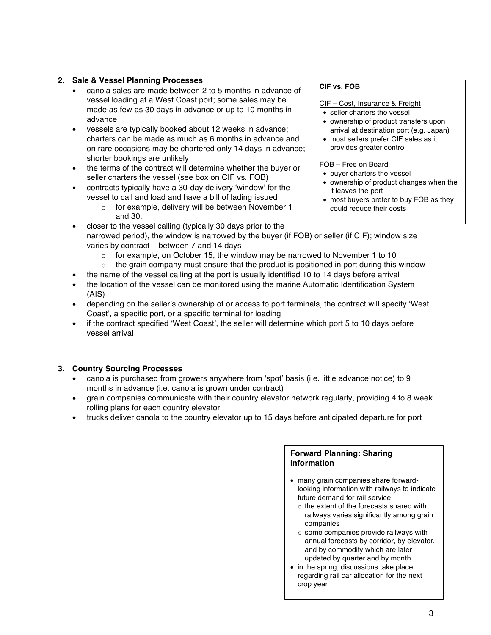#### **2. Sale & Vessel Planning Processes**

- canola sales are made between 2 to 5 months in advance of vessel loading at a West Coast port; some sales may be made as few as 30 days in advance or up to 10 months in advance
- vessels are typically booked about 12 weeks in advance; charters can be made as much as 6 months in advance and on rare occasions may be chartered only 14 days in advance; shorter bookings are unlikely
- the terms of the contract will determine whether the buyer or seller charters the vessel (see box on CIF vs. FOB)
- contracts typically have a 30-day delivery 'window' for the vessel to call and load and have a bill of lading issued
	- o for example, delivery will be between November 1 and 30.
- closer to the vessel calling (typically 30 days prior to the narrowed period), the window is narrowed by the buyer (if FOB) or seller (if CIF); window size varies by contract – between 7 and 14 days
	- $\circ$  for example, on October 15, the window may be narrowed to November 1 to 10
	- $\circ$  the grain company must ensure that the product is positioned in port during this window
	- the name of the vessel calling at the port is usually identified 10 to 14 days before arrival
- the location of the vessel can be monitored using the marine Automatic Identification System (AIS)
- depending on the seller's ownership of or access to port terminals, the contract will specify 'West Coast', a specific port, or a specific terminal for loading
- if the contract specified 'West Coast', the seller will determine which port 5 to 10 days before vessel arrival

## **3. Country Sourcing Processes**

- canola is purchased from growers anywhere from 'spot' basis (i.e. little advance notice) to 9 months in advance (i.e. canola is grown under contract)
- grain companies communicate with their country elevator network regularly, providing 4 to 8 week rolling plans for each country elevator
- trucks deliver canola to the country elevator up to 15 days before anticipated departure for port

# **Forward Planning: Sharing Information**

- many grain companies share forwardlooking information with railways to indicate future demand for rail service
	- $\circ$  the extent of the forecasts shared with railways varies significantly among grain companies
	- o some companies provide railways with annual forecasts by corridor, by elevator, and by commodity which are later updated by quarter and by month
- in the spring, discussions take place regarding rail car allocation for the next crop year

#### **CIF vs. FOB**

- CIF Cost, Insurance & Freight
- seller charters the vessel
- ownership of product transfers upon arrival at destination port (e.g. Japan)
- most sellers prefer CIF sales as it provides greater control

#### FOB – Free on Board

- buyer charters the vessel
- ownership of product changes when the it leaves the port
- most buyers prefer to buy FOB as they could reduce their costs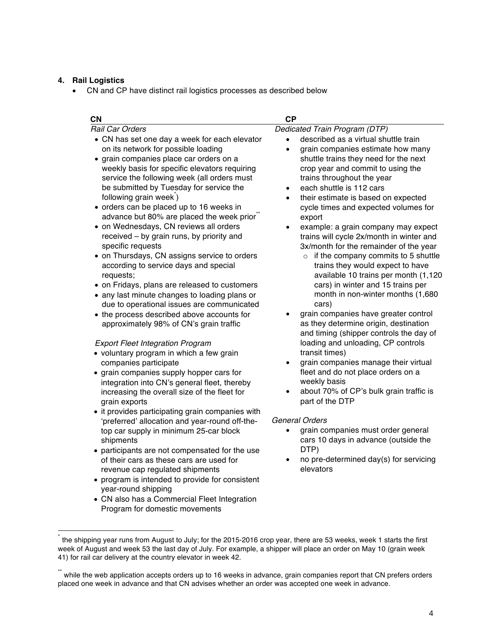#### **4. Rail Logistics**

1

• CN and CP have distinct rail logistics processes as described below

| <b>CN</b>                                                                                                                                                                                                                                                                                                                                                                                                                                                                                                                                                                                                                                                                                                                                                                                                                                                                                                                                                                                                                                                                                                                                                                                                                                                                                                                                                                                                                                                                                                                                                                                                                 | <b>CP</b>                                                                                                                                                                                                                                                                                                                                                                                                                                                                                                                                                                                                                                                                                                                                                                                                                                                                                                                                                                                                                                                                                                                                                                                                                                                                          |
|---------------------------------------------------------------------------------------------------------------------------------------------------------------------------------------------------------------------------------------------------------------------------------------------------------------------------------------------------------------------------------------------------------------------------------------------------------------------------------------------------------------------------------------------------------------------------------------------------------------------------------------------------------------------------------------------------------------------------------------------------------------------------------------------------------------------------------------------------------------------------------------------------------------------------------------------------------------------------------------------------------------------------------------------------------------------------------------------------------------------------------------------------------------------------------------------------------------------------------------------------------------------------------------------------------------------------------------------------------------------------------------------------------------------------------------------------------------------------------------------------------------------------------------------------------------------------------------------------------------------------|------------------------------------------------------------------------------------------------------------------------------------------------------------------------------------------------------------------------------------------------------------------------------------------------------------------------------------------------------------------------------------------------------------------------------------------------------------------------------------------------------------------------------------------------------------------------------------------------------------------------------------------------------------------------------------------------------------------------------------------------------------------------------------------------------------------------------------------------------------------------------------------------------------------------------------------------------------------------------------------------------------------------------------------------------------------------------------------------------------------------------------------------------------------------------------------------------------------------------------------------------------------------------------|
| <b>Rail Car Orders</b><br>• CN has set one day a week for each elevator<br>on its network for possible loading<br>• grain companies place car orders on a<br>weekly basis for specific elevators requiring<br>service the following week (all orders must<br>be submitted by Tuesday for service the<br>following grain week)<br>• orders can be placed up to 16 weeks in<br>advance but 80% are placed the week prior"<br>• on Wednesdays, CN reviews all orders<br>received - by grain runs, by priority and<br>specific requests<br>• on Thursdays, CN assigns service to orders<br>according to service days and special<br>requests;<br>• on Fridays, plans are released to customers<br>• any last minute changes to loading plans or<br>due to operational issues are communicated<br>• the process described above accounts for<br>approximately 98% of CN's grain traffic<br><b>Export Fleet Integration Program</b><br>• voluntary program in which a few grain<br>companies participate<br>• grain companies supply hopper cars for<br>integration into CN's general fleet, thereby<br>increasing the overall size of the fleet for<br>grain exports<br>• it provides participating grain companies with<br>'preferred' allocation and year-round off-the-<br>top car supply in minimum 25-car block<br>shipments<br>• participants are not compensated for the use<br>of their cars as these cars are used for<br>revenue cap regulated shipments<br>• program is intended to provide for consistent<br>year-round shipping<br>• CN also has a Commercial Fleet Integration<br>Program for domestic movements | Dedicated Train Program (DTP)<br>described as a virtual shuttle train<br>grain companies estimate how many<br>$\bullet$<br>shuttle trains they need for the next<br>crop year and commit to using the<br>trains throughout the year<br>each shuttle is 112 cars<br>$\bullet$<br>their estimate is based on expected<br>$\bullet$<br>cycle times and expected volumes for<br>export<br>example: a grain company may expect<br>٠<br>trains will cycle 2x/month in winter and<br>3x/month for the remainder of the year<br>$\circ$ if the company commits to 5 shuttle<br>trains they would expect to have<br>available 10 trains per month (1,120<br>cars) in winter and 15 trains per<br>month in non-winter months (1,680<br>cars)<br>grain companies have greater control<br>as they determine origin, destination<br>and timing (shipper controls the day of<br>loading and unloading, CP controls<br>transit times)<br>grain companies manage their virtual<br>$\bullet$<br>fleet and do not place orders on a<br>weekly basis<br>about 70% of CP's bulk grain traffic is<br>$\bullet$<br>part of the DTP<br><b>General Orders</b><br>grain companies must order general<br>cars 10 days in advance (outside the<br>DTP)<br>no pre-determined day(s) for servicing<br>elevators |

the shipping year runs from August to July; for the 2015-2016 crop year, there are 53 weeks, week 1 starts the first week of August and week 53 the last day of July. For example, a shipper will place an order on May 10 (grain week 41) for rail car delivery at the country elevator in week 42.

<sup>\*\*</sup> while the web application accepts orders up to 16 weeks in advance, grain companies report that CN prefers orders placed one week in advance and that CN advises whether an order was accepted one week in advance.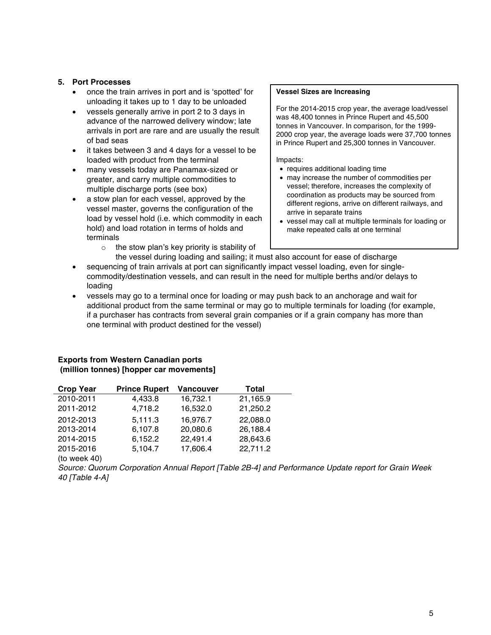#### **5. Port Processes**

- once the train arrives in port and is 'spotted' for unloading it takes up to 1 day to be unloaded
- vessels generally arrive in port 2 to 3 days in advance of the narrowed delivery window; late arrivals in port are rare and are usually the result of bad seas
- it takes between 3 and 4 days for a vessel to be loaded with product from the terminal
- many vessels today are Panamax-sized or greater, and carry multiple commodities to multiple discharge ports (see box)
- a stow plan for each vessel, approved by the vessel master, governs the configuration of the load by vessel hold (i.e. which commodity in each hold) and load rotation in terms of holds and terminals
	- $\circ$  the stow plan's key priority is stability of

#### **Vessel Sizes are Increasing**

For the 2014-2015 crop year, the average load/vessel was 48,400 tonnes in Prince Rupert and 45,500 tonnes in Vancouver. In comparison, for the 1999- 2000 crop year, the average loads were 37,700 tonnes in Prince Rupert and 25,300 tonnes in Vancouver.

Impacts:

- requires additional loading time
- may increase the number of commodities per vessel; therefore, increases the complexity of coordination as products may be sourced from different regions, arrive on different railways, and arrive in separate trains
- vessel may call at multiple terminals for loading or make repeated calls at one terminal
- the vessel during loading and sailing; it must also account for ease of discharge • sequencing of train arrivals at port can significantly impact vessel loading, even for singlecommodity/destination vessels, and can result in the need for multiple berths and/or delays to loading
- vessels may go to a terminal once for loading or may push back to an anchorage and wait for additional product from the same terminal or may go to multiple terminals for loading (for example, if a purchaser has contracts from several grain companies or if a grain company has more than one terminal with product destined for the vessel)

### **Exports from Western Canadian ports (million tonnes) [hopper car movements]**

| <b>Crop Year</b> | <b>Prince Rupert</b> | <b>Vancouver</b> | Total    |  |
|------------------|----------------------|------------------|----------|--|
| 2010-2011        | 4,433.8              | 16,732.1         | 21,165.9 |  |
| 2011-2012        | 4,718.2              | 16,532.0         | 21,250.2 |  |
| 2012-2013        | 5,111.3              | 16,976.7         | 22,088.0 |  |
| 2013-2014        | 6,107.8              | 20,080.6         | 26,188.4 |  |
| 2014-2015        | 6,152.2              | 22,491.4         | 28,643.6 |  |
| 2015-2016        | 5,104.7              | 17,606.4         | 22,711.2 |  |
|                  |                      |                  |          |  |

(to week 40)

*Source: Quorum Corporation Annual Report [Table 2B-4] and Performance Update report for Grain Week 40 [Table 4-A]*